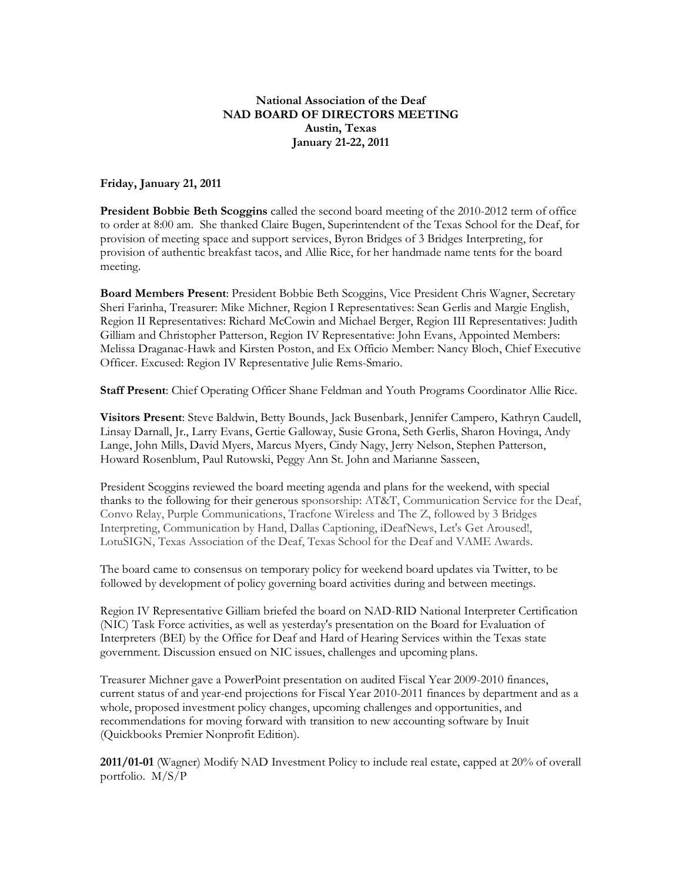## **National Association of the Deaf NAD BOARD OF DIRECTORS MEETING Austin, Texas January 21-22, 2011**

**Friday, January 21, 2011**

**President Bobbie Beth Scoggins** called the second board meeting of the 2010-2012 term of office to order at 8:00 am. She thanked Claire Bugen, Superintendent of the Texas School for the Deaf, for provision of meeting space and support services, Byron Bridges of 3 Bridges Interpreting, for provision of authentic breakfast tacos, and Allie Rice, for her handmade name tents for the board meeting.

**Board Members Present**: President Bobbie Beth Scoggins, Vice President Chris Wagner, Secretary Sheri Farinha, Treasurer: Mike Michner, Region I Representatives: Sean Gerlis and Margie English, Region II Representatives: Richard McCowin and Michael Berger, Region III Representatives: Judith Gilliam and Christopher Patterson, Region IV Representative: John Evans, Appointed Members: Melissa Draganac-Hawk and Kirsten Poston, and Ex Officio Member: Nancy Bloch, Chief Executive Officer. Excused: Region IV Representative Julie Rems-Smario.

**Staff Present**: Chief Operating Officer Shane Feldman and Youth Programs Coordinator Allie Rice.

**Visitors Present**: Steve Baldwin, Betty Bounds, Jack Busenbark, Jennifer Campero, Kathryn Caudell, Linsay Darnall, Jr., Larry Evans, Gertie Galloway, Susie Grona, Seth Gerlis, Sharon Hovinga, Andy Lange, John Mills, David Myers, Marcus Myers, Cindy Nagy, Jerry Nelson, Stephen Patterson, Howard Rosenblum, Paul Rutowski, Peggy Ann St. John and Marianne Sasseen,

President Scoggins reviewed the board meeting agenda and plans for the weekend, with special thanks to the following for their generous sponsorship: AT&T, Communication Service for the Deaf, Convo Relay, Purple Communications, Tracfone Wireless and The Z, followed by 3 Bridges Interpreting, Communication by Hand, Dallas Captioning, iDeafNews, Let's Get Aroused!, LotuSIGN, Texas Association of the Deaf, Texas School for the Deaf and VAME Awards.

The board came to consensus on temporary policy for weekend board updates via Twitter, to be followed by development of policy governing board activities during and between meetings.

Region IV Representative Gilliam briefed the board on NAD-RID National Interpreter Certification (NIC) Task Force activities, as well as yesterday's presentation on the Board for Evaluation of Interpreters (BEI) by the Office for Deaf and Hard of Hearing Services within the Texas state government. Discussion ensued on NIC issues, challenges and upcoming plans.

Treasurer Michner gave a PowerPoint presentation on audited Fiscal Year 2009-2010 finances, current status of and year-end projections for Fiscal Year 2010-2011 finances by department and as a whole, proposed investment policy changes, upcoming challenges and opportunities, and recommendations for moving forward with transition to new accounting software by Inuit (Quickbooks Premier Nonprofit Edition).

**2011/01-01** (Wagner) Modify NAD Investment Policy to include real estate, capped at 20% of overall portfolio. M/S/P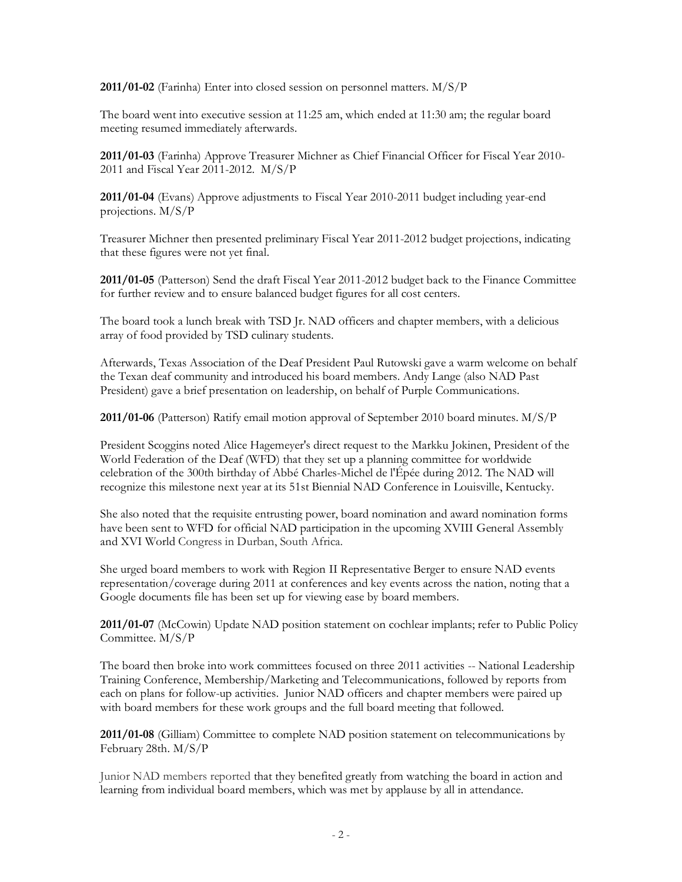**2011/01-02** (Farinha) Enter into closed session on personnel matters. M/S/P

The board went into executive session at 11:25 am, which ended at 11:30 am; the regular board meeting resumed immediately afterwards.

**2011/01-03** (Farinha) Approve Treasurer Michner as Chief Financial Officer for Fiscal Year 2010- 2011 and Fiscal Year 2011-2012. M/S/P

**2011/01-04** (Evans) Approve adjustments to Fiscal Year 2010-2011 budget including year-end projections. M/S/P

Treasurer Michner then presented preliminary Fiscal Year 2011-2012 budget projections, indicating that these figures were not yet final.

**2011/01-05** (Patterson) Send the draft Fiscal Year 2011-2012 budget back to the Finance Committee for further review and to ensure balanced budget figures for all cost centers.

The board took a lunch break with TSD Jr. NAD officers and chapter members, with a delicious array of food provided by TSD culinary students.

Afterwards, Texas Association of the Deaf President Paul Rutowski gave a warm welcome on behalf the Texan deaf community and introduced his board members. Andy Lange (also NAD Past President) gave a brief presentation on leadership, on behalf of Purple Communications.

**2011/01-06** (Patterson) Ratify email motion approval of September 2010 board minutes. M/S/P

President Scoggins noted Alice Hagemeyer's direct request to the Markku Jokinen, President of the World Federation of the Deaf (WFD) that they set up a planning committee for worldwide celebration of the 300th birthday of Abbé Charles-Michel de l'Épée during 2012. The NAD will recognize this milestone next year at its 51st Biennial NAD Conference in Louisville, Kentucky.

She also noted that the requisite entrusting power, board nomination and award nomination forms have been sent to WFD for official NAD participation in the upcoming XVIII General Assembly and XVI World Congress in Durban, South Africa.

She urged board members to work with Region II Representative Berger to ensure NAD events representation/coverage during 2011 at conferences and key events across the nation, noting that a Google documents file has been set up for viewing ease by board members.

**2011/01-07** (McCowin) Update NAD position statement on cochlear implants; refer to Public Policy Committee. M/S/P

The board then broke into work committees focused on three 2011 activities -- National Leadership Training Conference, Membership/Marketing and Telecommunications, followed by reports from each on plans for follow-up activities. Junior NAD officers and chapter members were paired up with board members for these work groups and the full board meeting that followed.

**2011/01-08** (Gilliam) Committee to complete NAD position statement on telecommunications by February 28th. M/S/P

Junior NAD members reported that they benefited greatly from watching the board in action and learning from individual board members, which was met by applause by all in attendance.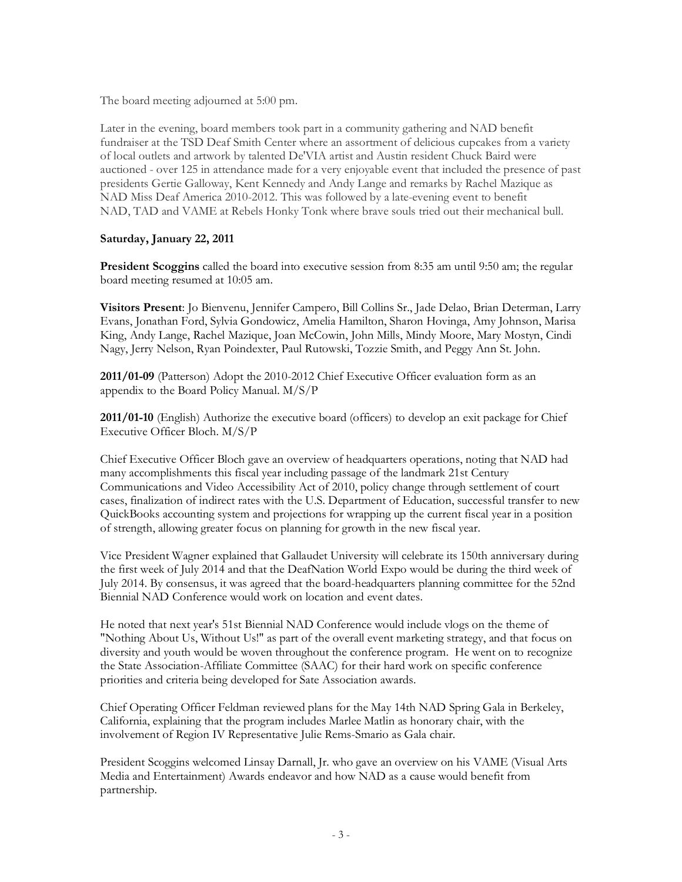The board meeting adjourned at 5:00 pm.

Later in the evening, board members took part in a community gathering and NAD benefit fundraiser at the TSD Deaf Smith Center where an assortment of delicious cupcakes from a variety of local outlets and artwork by talented De'VIA artist and Austin resident Chuck Baird were auctioned - over 125 in attendance made for a very enjoyable event that included the presence of past presidents Gertie Galloway, Kent Kennedy and Andy Lange and remarks by Rachel Mazique as NAD Miss Deaf America 2010-2012. This was followed by a late-evening event to benefit NAD, TAD and VAME at Rebels Honky Tonk where brave souls tried out their mechanical bull.

## **Saturday, January 22, 2011**

**President Scoggins** called the board into executive session from 8:35 am until 9:50 am; the regular board meeting resumed at 10:05 am.

**Visitors Present**: Jo Bienvenu, Jennifer Campero, Bill Collins Sr., Jade Delao, Brian Determan, Larry Evans, Jonathan Ford, Sylvia Gondowicz, Amelia Hamilton, Sharon Hovinga, Amy Johnson, Marisa King, Andy Lange, Rachel Mazique, Joan McCowin, John Mills, Mindy Moore, Mary Mostyn, Cindi Nagy, Jerry Nelson, Ryan Poindexter, Paul Rutowski, Tozzie Smith, and Peggy Ann St. John.

**2011/01-09** (Patterson) Adopt the 2010-2012 Chief Executive Officer evaluation form as an appendix to the Board Policy Manual. M/S/P

**2011/01-10** (English) Authorize the executive board (officers) to develop an exit package for Chief Executive Officer Bloch. M/S/P

Chief Executive Officer Bloch gave an overview of headquarters operations, noting that NAD had many accomplishments this fiscal year including passage of the landmark 21st Century Communications and Video Accessibility Act of 2010, policy change through settlement of court cases, finalization of indirect rates with the U.S. Department of Education, successful transfer to new QuickBooks accounting system and projections for wrapping up the current fiscal year in a position of strength, allowing greater focus on planning for growth in the new fiscal year.

Vice President Wagner explained that Gallaudet University will celebrate its 150th anniversary during the first week of July 2014 and that the DeafNation World Expo would be during the third week of July 2014. By consensus, it was agreed that the board-headquarters planning committee for the 52nd Biennial NAD Conference would work on location and event dates.

He noted that next year's 51st Biennial NAD Conference would include vlogs on the theme of "Nothing About Us, Without Us!" as part of the overall event marketing strategy, and that focus on diversity and youth would be woven throughout the conference program. He went on to recognize the State Association-Affiliate Committee (SAAC) for their hard work on specific conference priorities and criteria being developed for Sate Association awards.

Chief Operating Officer Feldman reviewed plans for the May 14th NAD Spring Gala in Berkeley, California, explaining that the program includes Marlee Matlin as honorary chair, with the involvement of Region IV Representative Julie Rems-Smario as Gala chair.

President Scoggins welcomed Linsay Darnall, Jr. who gave an overview on his VAME (Visual Arts Media and Entertainment) Awards endeavor and how NAD as a cause would benefit from partnership.